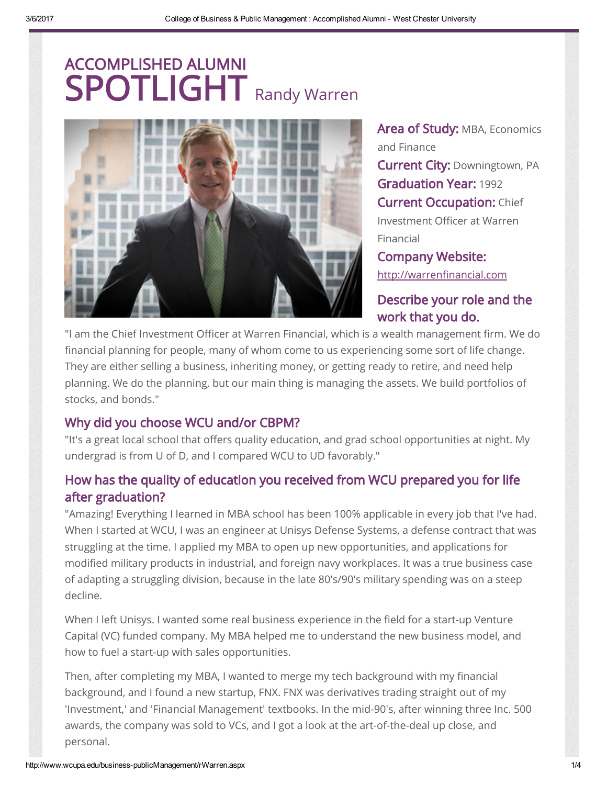



Area of Study: MBA, Economics and Finance **Current City: Downingtown, PA** Graduation Year: 1992 **Current Occupation: Chief** Investment Officer at Warren Financial Company Website:

[http://warrenfinancial.com](http://warrenfinancial.com/)

# Describe your role and the work that you do.

"I am the Chief Investment Officer at Warren Financial, which is a wealth management firm. We do financial planning for people, many of whom come to us experiencing some sort of life change. They are either selling a business, inheriting money, or getting ready to retire, and need help planning. We do the planning, but our main thing is managing the assets. We build portfolios of stocks, and bonds."

### Why did you choose WCU and/or CBPM?

"It's a great local school that offers quality education, and grad school opportunities at night. My undergrad is from U of D, and I compared WCU to UD favorably."

# How has the quality of education you received from WCU prepared you for life after graduation?

"Amazing! Everything I learned in MBA school has been 100% applicable in every job that I've had. When I started at WCU, I was an engineer at Unisys Defense Systems, a defense contract that was struggling at the time. I applied my MBA to open up new opportunities, and applications for modified military products in industrial, and foreign navy workplaces. It was a true business case of adapting a struggling division, because in the late 80's/90's military spending was on a steep decline.

When I left Unisys. I wanted some real business experience in the field for a start-up Venture Capital (VC) funded company. My MBA helped me to understand the new business model, and how to fuel a start-up with sales opportunities.

Then, after completing my MBA, I wanted to merge my tech background with my financial background, and I found a new startup, FNX. FNX was derivatives trading straight out of my 'Investment,' and 'Financial Management' textbooks. In the mid-90's, after winning three Inc. 500 awards, the company was sold to VCs, and I got a look at the art-of-the-deal up close, and personal.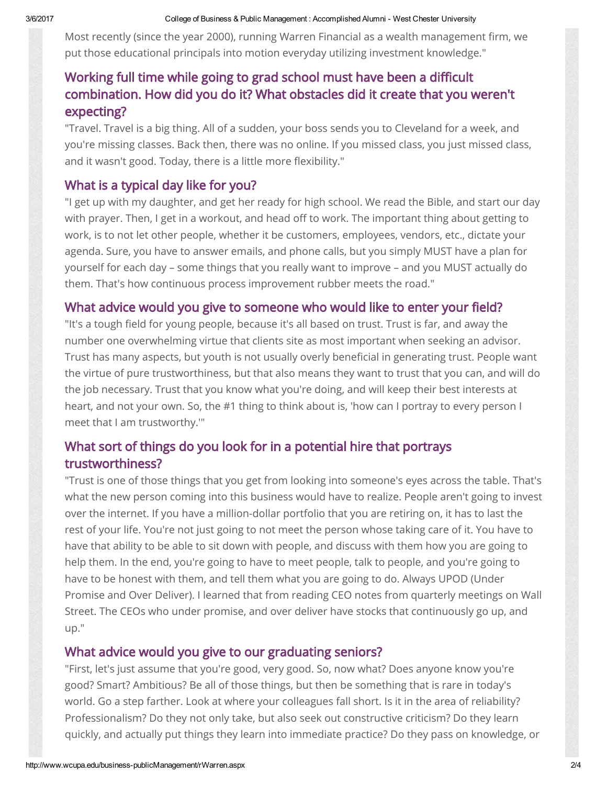Most recently (since the year 2000), running Warren Financial as a wealth management firm, we put those educational principals into motion everyday utilizing investment knowledge."

# Working full time while going to grad school must have been a difficult combination. How did you do it? What obstacles did it create that you weren't expecting?

"Travel. Travel is a big thing. All of a sudden, your boss sends you to Cleveland for a week, and you're missing classes. Back then, there was no online. If you missed class, you just missed class, and it wasn't good. Today, there is a little more flexibility."

### What is a typical day like for you?

"I get up with my daughter, and get her ready for high school. We read the Bible, and start our day with prayer. Then, I get in a workout, and head off to work. The important thing about getting to work, is to not let other people, whether it be customers, employees, vendors, etc., dictate your agenda. Sure, you have to answer emails, and phone calls, but you simply MUST have a plan for yourself for each day – some things that you really want to improve – and you MUST actually do them. That's how continuous process improvement rubber meets the road."

### What advice would you give to someone who would like to enter your field?

"It's a tough field for young people, because it's all based on trust. Trust is far, and away the number one overwhelming virtue that clients site as most important when seeking an advisor. Trust has many aspects, but youth is not usually overly beneficial in generating trust. People want the virtue of pure trustworthiness, but that also means they want to trust that you can, and will do the job necessary. Trust that you know what you're doing, and will keep their best interests at heart, and not your own. So, the #1 thing to think about is, 'how can I portray to every person I meet that I am trustworthy.'"

# What sort of things do you look for in a potential hire that portrays trustworthiness?

"Trust is one of those things that you get from looking into someone's eyes across the table. That's what the new person coming into this business would have to realize. People aren't going to invest over the internet. If you have a million-dollar portfolio that you are retiring on, it has to last the rest of your life. You're not just going to not meet the person whose taking care of it. You have to have that ability to be able to sit down with people, and discuss with them how you are going to help them. In the end, you're going to have to meet people, talk to people, and you're going to have to be honest with them, and tell them what you are going to do. Always UPOD (Under Promise and Over Deliver). I learned that from reading CEO notes from quarterly meetings on Wall Street. The CEOs who under promise, and over deliver have stocks that continuously go up, and up."

#### What advice would you give to our graduating seniors?

"First, let's just assume that you're good, very good. So, now what? Does anyone know you're good? Smart? Ambitious? Be all of those things, but then be something that is rare in today's world. Go a step farther. Look at where your colleagues fall short. Is it in the area of reliability? Professionalism? Do they not only take, but also seek out constructive criticism? Do they learn quickly, and actually put things they learn into immediate practice? Do they pass on knowledge, or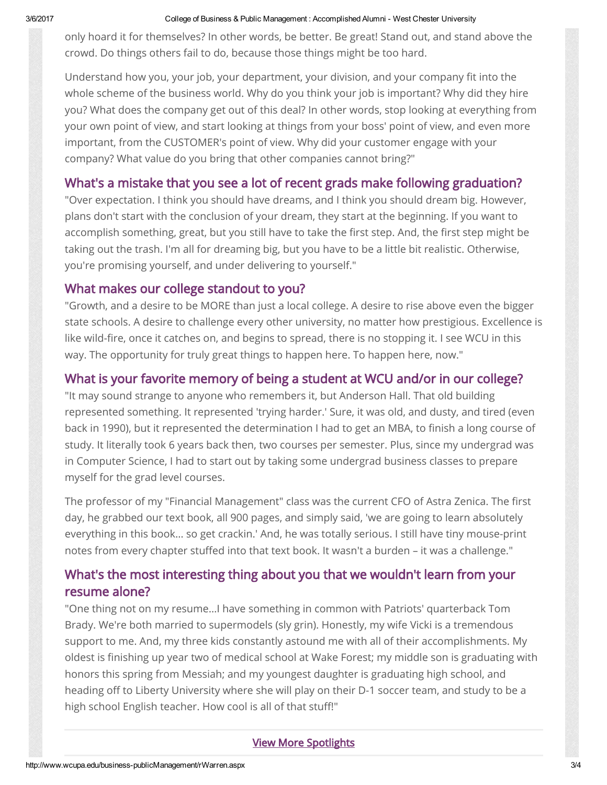#### 3/6/2017 College of Business & Public Management : Accomplished Alumni West Chester University

only hoard it for themselves? In other words, be better. Be great! Stand out, and stand above the crowd. Do things others fail to do, because those things might be too hard.

Understand how you, your job, your department, your division, and your company fit into the whole scheme of the business world. Why do you think your job is important? Why did they hire you? What does the company get out of this deal? In other words, stop looking at everything from your own point of view, and start looking at things from your boss' point of view, and even more important, from the CUSTOMER's point of view. Why did your customer engage with your company? What value do you bring that other companies cannot bring?"

### What's a mistake that you see a lot of recent grads make following graduation?

"Over expectation. I think you should have dreams, and I think you should dream big. However, plans don't start with the conclusion of your dream, they start at the beginning. If you want to accomplish something, great, but you still have to take the first step. And, the first step might be taking out the trash. I'm all for dreaming big, but you have to be a little bit realistic. Otherwise, you're promising yourself, and under delivering to yourself."

### What makes our college standout to you?

"Growth, and a desire to be MORE than just a local college. A desire to rise above even the bigger state schools. A desire to challenge every other university, no matter how prestigious. Excellence is like wild-fire, once it catches on, and begins to spread, there is no stopping it. I see WCU in this way. The opportunity for truly great things to happen here. To happen here, now."

### What is your favorite memory of being a student at WCU and/or in our college?

"It may sound strange to anyone who remembers it, but Anderson Hall. That old building represented something. It represented 'trying harder.' Sure, it was old, and dusty, and tired (even back in 1990), but it represented the determination I had to get an MBA, to finish a long course of study. It literally took 6 years back then, two courses per semester. Plus, since my undergrad was in Computer Science, I had to start out by taking some undergrad business classes to prepare myself for the grad level courses.

The professor of my "Financial Management" class was the current CFO of Astra Zenica. The first day, he grabbed our text book, all 900 pages, and simply said, 'we are going to learn absolutely everything in this book… so get crackin.' And, he was totally serious. I still have tiny mouse-print notes from every chapter stuffed into that text book. It wasn't a burden – it was a challenge."

# What's the most interesting thing about you that we wouldn't learn from your resume alone?

"One thing not on my resume…I have something in common with Patriots' quarterback Tom Brady. We're both married to supermodels (sly grin). Honestly, my wife Vicki is a tremendous support to me. And, my three kids constantly astound me with all of their accomplishments. My oldest is finishing up year two of medical school at Wake Forest; my middle son is graduating with honors this spring from Messiah; and my youngest daughter is graduating high school, and heading off to Liberty University where she will play on their D-1 soccer team, and study to be a high school English teacher. How cool is all of that stuff!"

#### [View More Spotlights](http://www.wcupa.edu/business-publicManagement/spotlightHistory.aspx)